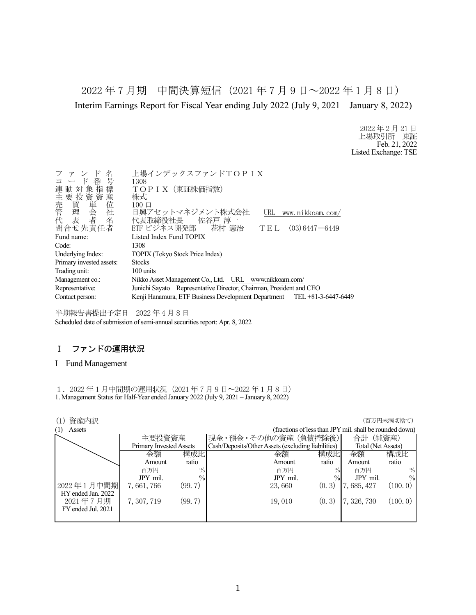2022 年 7 月期 中間決算短信(2021 年 7 月 9 日~2022 年 1 月 8 日) Interim Earnings Report for Fiscal Year ending July 2022 (July 9, 2021 – January 8, 2022)

> 2022 年 2 月 21 日 上場取引所 東証 Feb. 21, 2022 Listed Exchange: TSE

| 名<br>ファン<br>コード番号<br>連動対象指標<br>主要投資資産 | 上場インデックスファンドTOPIX<br>1308<br>TOPIX (東証株価指数)<br>株式<br>$100 \Box$         |
|---------------------------------------|-------------------------------------------------------------------------|
|                                       | 日興アセットマネジメント株式会社<br>URL<br>www.nikkoam.com/                             |
|                                       | 代表取締役社長 佐谷戸 淳一                                                          |
| 問合せ先責任者                               | ETF ビジネス開発部  花村 憲治<br>$(03)$ 6447 - 6449<br>TEL                         |
| Fund name:                            | Listed Index Fund TOPIX                                                 |
| Code:                                 | 1308                                                                    |
| Underlying Index:                     | TOPIX (Tokyo Stock Price Index)                                         |
| Primary invested assets:              | <b>Stocks</b>                                                           |
| Trading unit:                         | 100 units                                                               |
| Management co.:                       | Nikko Asset Management Co., Ltd. URL www.nikkoam.com/                   |
| Representative:                       | Junichi Sayato Representative Director, Chairman, President and CEO     |
| Contact person:                       | Kenji Hanamura, ETF Business Development Department TEL +81-3-6447-6449 |
|                                       |                                                                         |

半期報告書提出予定日 2022 年 4 月 8 日 Scheduled date of submission of semi-annual securities report: Apr. 8, 2022

## Ⅰ ファンドの運用状況

#### I Fund Management

1.2022 年 1 月中間期の運用状況(2021 年 7 月 9 日~2022 年 1 月 8 日) 1. Management Status for Half-Year ended January 2022 (July 9, 2021 – January 8, 2022)

| 資産内訳<br>(1)        |                                |        |                                                    |               |                                                         | (百万円未満切捨て)    |
|--------------------|--------------------------------|--------|----------------------------------------------------|---------------|---------------------------------------------------------|---------------|
| (1)<br>Assets      |                                |        |                                                    |               | (fractions of less than JPY mil. shall be rounded down) |               |
|                    | 主要投資資産                         |        | 現金・預金・その他の資産 (負債控除後)                               |               | 合計                                                      | (純資産)         |
|                    | <b>Primary Invested Assets</b> |        | Cash/Deposits/Other Assets (excluding liabilities) |               | Total (Net Assets)                                      |               |
|                    | 金額                             | 構成比    | 金額                                                 | 構成比           | 金額                                                      | 構成比           |
|                    | Amount                         | ratio  | Amount                                             | ratio         | Amount                                                  | ratio         |
|                    | 百万円                            | $\%$   | 百万円                                                | $\%$          | 百万円                                                     | $\%$          |
|                    | JPY mil.                       | $\%$   | JPY mil.                                           | $\frac{0}{0}$ | JPY mil.                                                | $\frac{0}{0}$ |
| 2022年1月中間期         | 7,661,766                      | (99.7) | 23,660                                             | (0, 3)        | 7, 685, 427                                             | (100, 0)      |
| HY ended Jan. 2022 |                                |        |                                                    |               |                                                         |               |
| 2021年7月期           | 7, 307, 719                    | (99.7) | 19,010                                             | (0, 3)        | 7, 326, 730                                             | (100.0)       |
| FY ended Jul. 2021 |                                |        |                                                    |               |                                                         |               |
|                    |                                |        |                                                    |               |                                                         |               |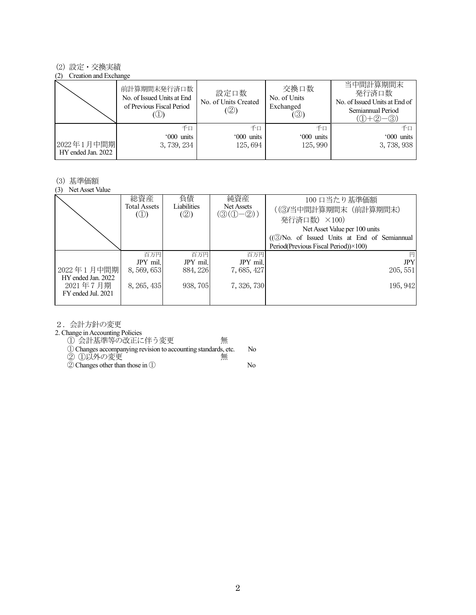### (2) 設定・交換実績

#### (2) Creation and Exchange

|                                  | 前計算期間末発行済口数<br>No. of Issued Units at End<br>of Previous Fiscal Period | 設定口数<br>No. of Units Created<br>(②) | 交換口数<br>No. of Units<br>Exchanged<br>$(\circledS)$ | 当中間計算期間末<br>発行済口数<br>No. of Issued Units at End of<br>Semiannual Period<br>$(1) + (2)$<br>$-(3)$ |
|----------------------------------|------------------------------------------------------------------------|-------------------------------------|----------------------------------------------------|--------------------------------------------------------------------------------------------------|
| 2022年1月中間期<br>HY ended Jan. 2022 | 千口<br>'000 units<br>3, 739, 234                                        | 千口<br>'000 units<br>125,694         | 千口<br>'000 units<br>125,990                        | 千口<br>'000 units<br>3, 738, 938                                                                  |

#### (3) 基準価額

(3) Net Asset Value

|                                  | 総資産<br>Total Assets<br>$\circled{1}$ | 負債<br>Liabilities<br>(2) | 純資産<br>Net Assets<br>$(\textcircled{3}(\textcircled{1}-\textcircled{2}))$ | 100 口当たり基準価額<br>((3)当中間計算期間末 (前計算期間末)<br>発行済口数) ×100)<br>Net Asset Value per 100 units<br>((3)No. of Issued Units at End of Semiannual<br>Period(Previous Fiscal Period))×100) |
|----------------------------------|--------------------------------------|--------------------------|---------------------------------------------------------------------------|--------------------------------------------------------------------------------------------------------------------------------------------------------------------------------|
|                                  | 百万円                                  | 百万円                      | 百万円                                                                       | 円                                                                                                                                                                              |
|                                  | JPY mil.                             | JPY mil.                 | JPY mil.                                                                  | <b>JPY</b>                                                                                                                                                                     |
| 2022年1月中間期<br>HY ended Jan. 2022 | 8, 569, 653                          | 884, 226                 | 7,685,427                                                                 | 205, 551                                                                                                                                                                       |
| 2021年7月期<br>FY ended Jul. 2021   | 8, 265, 435                          | 938, 705                 | 7, 326, 730                                                               | 195, 942                                                                                                                                                                       |

2.会計方針の変更

2. Change in Accounting Policies

① 会計基準等の改正に伴う変更 無

①Changes accompanying revision to accounting standards, etc. No

② ①以外の変更 無

②Changes other than those in ① No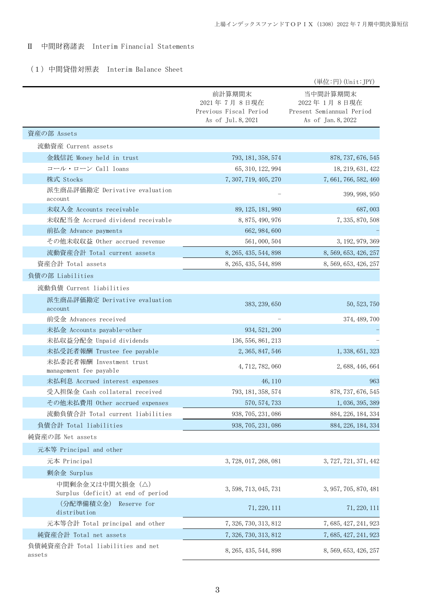## Ⅱ 中間財務諸表 Interim Financial Statements

## (1)中間貸借対照表 Interim Balance Sheet

|                                                       |                                                                       | (単位:円) (Unit:JPY)                                                            |
|-------------------------------------------------------|-----------------------------------------------------------------------|------------------------------------------------------------------------------|
|                                                       | 前計算期間末<br>2021年7月8日現在<br>Previous Fiscal Period<br>As of Jul. 8, 2021 | 当中間計算期間末<br>2022年 1月 8日現在<br>Present Semiannual Period<br>As of Jan. 8, 2022 |
| 資産の部 Assets                                           |                                                                       |                                                                              |
| 流動資産 Current assets                                   |                                                                       |                                                                              |
| 金銭信託 Money held in trust                              | 793, 181, 358, 574                                                    | 878, 737, 676, 545                                                           |
| コール・ローン Call loans                                    | 65, 310, 122, 994                                                     | 18, 219, 631, 422                                                            |
| 株式 Stocks                                             | 7, 307, 719, 405, 270                                                 | 7, 661, 766, 582, 460                                                        |
| 派生商品評価勘定 Derivative evaluation<br>account             |                                                                       | 399, 998, 950                                                                |
| 未収入金 Accounts receivable                              | 89, 125, 181, 980                                                     | 687,003                                                                      |
| 未収配当金 Accrued dividend receivable                     | 8, 875, 490, 976                                                      | 7, 335, 870, 508                                                             |
| 前払金 Advance payments                                  | 662, 984, 600                                                         |                                                                              |
| その他未収収益 Other accrued revenue                         | 561, 000, 504                                                         | 3, 192, 979, 369                                                             |
| 流動資産合計 Total current assets                           | 8, 265, 435, 544, 898                                                 | 8, 569, 653, 426, 257                                                        |
| 資産合計 Total assets                                     | 8, 265, 435, 544, 898                                                 | 8, 569, 653, 426, 257                                                        |
| 負債の部 Liabilities                                      |                                                                       |                                                                              |
| 流動負債 Current liabilities                              |                                                                       |                                                                              |
| 派生商品評価勘定 Derivative evaluation<br>account             | 383, 239, 650                                                         | 50, 523, 750                                                                 |
| 前受金 Advances received                                 |                                                                       | 374, 489, 700                                                                |
| 未払金 Accounts payable-other                            | 934, 521, 200                                                         |                                                                              |
| 未払収益分配金 Unpaid dividends                              | 136, 556, 861, 213                                                    |                                                                              |
| 未払受託者報酬 Trustee fee payable                           | 2, 365, 847, 546                                                      | 1, 338, 651, 323                                                             |
| 未払委託者報酬 Investment trust<br>management fee payable    | 4, 712, 782, 060                                                      | 2, 688, 446, 664                                                             |
| 未払利息 Accrued interest expenses                        | 46, 110                                                               | 963                                                                          |
| 受入担保金 Cash collateral received                        | 793, 181, 358, 574                                                    | 878, 737, 676, 545                                                           |
| その他未払費用 Other accrued expenses                        | 570, 574, 733                                                         | 1, 036, 395, 389                                                             |
| 流動負債合計 Total current liabilities                      | 938, 705, 231, 086                                                    | 884, 226, 184, 334                                                           |
| 負債合計 Total liabilities                                | 938, 705, 231, 086                                                    | 884, 226, 184, 334                                                           |
| 純資産の部 Net assets                                      |                                                                       |                                                                              |
| 元本等 Principal and other                               |                                                                       |                                                                              |
| 元本 Principal                                          | 3, 728, 017, 268, 081                                                 | 3, 727, 721, 371, 442                                                        |
| 剰余金 Surplus                                           |                                                                       |                                                                              |
| 中間剰余金又は中間欠損金(△)<br>Surplus (deficit) at end of period | 3, 598, 713, 045, 731                                                 | 3, 957, 705, 870, 481                                                        |
| (分配準備積立金)<br>Reserve for<br>distribution              | 71, 220, 111                                                          | 71, 220, 111                                                                 |
| 元本等合計 Total principal and other                       | 7, 326, 730, 313, 812                                                 | 7, 685, 427, 241, 923                                                        |
| 純資産合計 Total net assets                                | 7, 326, 730, 313, 812                                                 | 7, 685, 427, 241, 923                                                        |
| 負債純資産合計 Total liabilities and net<br>assets           | 8, 265, 435, 544, 898                                                 | 8, 569, 653, 426, 257                                                        |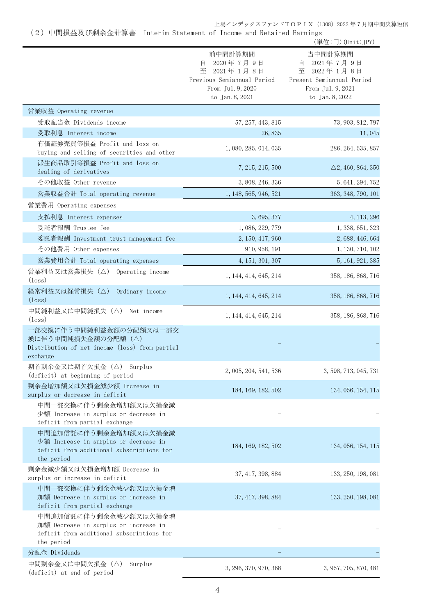(2)中間損益及び剰余金計算書 Interim Statement of Income and Retained Earnings

|                                                                                                                           |                                                                                                                | (単位:円) (Unit:JPY)                                                                                                |
|---------------------------------------------------------------------------------------------------------------------------|----------------------------------------------------------------------------------------------------------------|------------------------------------------------------------------------------------------------------------------|
|                                                                                                                           | 前中間計算期間<br>2020年7月9日<br>自<br>至 2021年1月8日<br>Previous Semiannual Period<br>From Jul. 9, 2020<br>to Jan. 8, 2021 | 当中間計算期間<br>2021年7月9日<br>自<br>2022年1月8日<br>至<br>Present Semiannual Period<br>From Jul. 9, 2021<br>to Jan. 8, 2022 |
| 営業収益 Operating revenue                                                                                                    |                                                                                                                |                                                                                                                  |
| 受取配当金 Dividends income                                                                                                    | 57, 257, 443, 815                                                                                              | 73, 903, 812, 797                                                                                                |
| 受取利息 Interest income                                                                                                      | 26,835                                                                                                         | 11,045                                                                                                           |
| 有価証券売買等損益 Profit and loss on<br>buying and selling of securities and other                                                | 1, 080, 285, 014, 035                                                                                          | 286, 264, 535, 857                                                                                               |
| 派生商品取引等損益 Profit and loss on<br>dealing of derivatives                                                                    | 7, 215, 215, 500                                                                                               | $\triangle$ 2, 460, 864, 350                                                                                     |
| その他収益 Other revenue                                                                                                       | 3, 808, 246, 336                                                                                               | 5, 641, 294, 752                                                                                                 |
| 営業収益合計 Total operating revenue                                                                                            | 1, 148, 565, 946, 521                                                                                          | 363, 348, 790, 101                                                                                               |
| 営業費用 Operating expenses                                                                                                   |                                                                                                                |                                                                                                                  |
| 支払利息 Interest expenses                                                                                                    | 3, 695, 377                                                                                                    | 4, 113, 296                                                                                                      |
| 受託者報酬 Trustee fee                                                                                                         | 1, 086, 229, 779                                                                                               | 1, 338, 651, 323                                                                                                 |
| 委託者報酬 Investment trust management fee                                                                                     | 2, 150, 417, 960                                                                                               | 2, 688, 446, 664                                                                                                 |
| その他費用 Other expenses                                                                                                      | 910, 958, 191                                                                                                  | 1, 130, 710, 102                                                                                                 |
| 営業費用合計 Total operating expenses                                                                                           | 4, 151, 301, 307                                                                                               | 5, 161, 921, 385                                                                                                 |
| 営業利益又は営業損失(△) Operating income<br>$(\text{loss})$                                                                         | 1, 144, 414, 645, 214                                                                                          | 358, 186, 868, 716                                                                                               |
| 経常利益又は経常損失(△)<br>Ordinary income<br>$(\text{loss})$                                                                       | 1, 144, 414, 645, 214                                                                                          | 358, 186, 868, 716                                                                                               |
| 中間純利益又は中間純損失 (△) Net income<br>$(\text{loss})$                                                                            | 1, 144, 414, 645, 214                                                                                          | 358, 186, 868, 716                                                                                               |
| 一部交換に伴う中間純利益金額の分配額又は一部交<br>換に伴う中間純損失金額の分配額 (△)<br>Distribution of net income (loss) from partial<br>exchange              |                                                                                                                |                                                                                                                  |
| 期首剰余金又は期首欠損金 (△) Surplus<br>(deficit) at beginning of period                                                              | 2, 005, 204, 541, 536                                                                                          | 3, 598, 713, 045, 731                                                                                            |
| 剰余金増加額又は欠損金減少額 Increase in<br>surplus or decrease in deficit                                                              | 184, 169, 182, 502                                                                                             | 134, 056, 154, 115                                                                                               |
| 中間一部交換に伴う剰余金増加額又は欠損金減<br>少額 Increase in surplus or decrease in<br>deficit from partial exchange                           |                                                                                                                |                                                                                                                  |
| 中間追加信託に伴う剰余金増加額又は欠損金減<br>少額 Increase in surplus or decrease in<br>deficit from additional subscriptions for<br>the period | 184, 169, 182, 502                                                                                             | 134, 056, 154, 115                                                                                               |
| 剰余金減少額又は欠損金増加額 Decrease in<br>surplus or increase in deficit                                                              | 37, 417, 398, 884                                                                                              | 133, 250, 198, 081                                                                                               |
| 中間一部交換に伴う剰余金減少額又は欠損金増<br>加額 Decrease in surplus or increase in<br>deficit from partial exchange                           | 37, 417, 398, 884                                                                                              | 133, 250, 198, 081                                                                                               |
| 中間追加信託に伴う剰余金減少額又は欠損金増<br>加額 Decrease in surplus or increase in<br>deficit from additional subscriptions for<br>the period |                                                                                                                |                                                                                                                  |
| 分配金 Dividends                                                                                                             |                                                                                                                |                                                                                                                  |
| 中間剰余金又は中間欠損金(△)<br>Surplus<br>(deficit) at end of period                                                                  | 3, 296, 370, 970, 368                                                                                          | 3, 957, 705, 870, 481                                                                                            |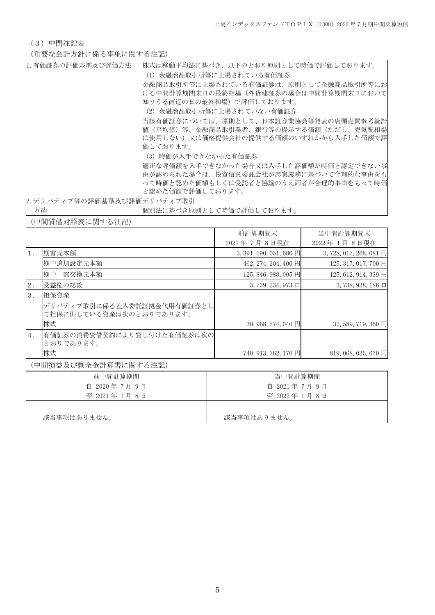(3)中間注記表

(重要な会計方針に係る事項に関する注記)

| 1.有価証券の評価基準及び評価方法           | 株式は移動平均法に基づき、以下のとおり原則として時価で評価しております。  |
|-----------------------------|---------------------------------------|
|                             | (1)金融商品取引所等に上場されている有価証券               |
|                             | 金融商品取引所等に上場されている有価証券は、原則として金融商品取引所等にお |
|                             | ける中間計算期間末日の最終相場(外貨建証券の場合は中間計算期間末日において |
|                             | 知りうる直近の日の最終相場)で評価しております。              |
|                             | (2)金融商品取引所等に上場されていない有価証券              |
|                             | 当該有価証券については、原則として、日本証券業協会等発表の店頭売買参考統計 |
|                             | 値(平均値)等、金融商品取引業者、銀行等の提示する価額(ただし、売気配相場 |
|                             | は使用しない)又は価格提供会社の提供する価額のいずれかから入手した価額で評 |
|                             | 価しております。                              |
|                             | (3)時価が入手できなかった有価証券                    |
|                             | 適正な評価額を入手できなかった場合又は入手した評価額が時価と認定できない事 |
|                             | 由が認められた場合は、投資信託委託会社が忠実義務に基づいて合理的な事由をも |
|                             | って時価と認めた価額もしくは受託者と協議のうえ両者が合理的事由をもって時価 |
|                             | と認めた価額で評価しております。                      |
| 2. デリバティブ等の評価基準及び評価デリバティブ取引 |                                       |
| 方法                          | 個別法に基づき原則として時価で評価しております。              |

(中間貸借対照表に関する注記)

|       |                                                       | 前計算期間末                               | 当中間計算期間末                         |
|-------|-------------------------------------------------------|--------------------------------------|----------------------------------|
|       |                                                       | 2021年7月8日現在                          | 2022年1月8日現在                      |
| $1$ . | 期首元本額                                                 | 3, 391, 590, 051, 686 $\overline{H}$ | 3, 728, 017, 268, 081 $\boxplus$ |
|       | 期中追加設定元本額                                             | 462, 274, 204, 400 円                 | 125, 317, 017, 700 円             |
|       | 期中一部交換元本額                                             | 125, 846, 988, 005 円                 | 125, 612, 914, 339 円             |
| 2.    | 受益権の総数                                                | $3,739,234,973$ $\Box$               | $3,738,938,186 \square$          |
| 3.    | 担保資産                                                  |                                      |                                  |
|       | デリバティブ取引に係る差入委託証拠金代用有価証券とし<br>て担保に供している資産は次のとおりであります。 |                                      |                                  |
|       | 株式                                                    | $30,968,574,040$ 円                   | 32, 589, 719, 360 円              |
| 4.    | 有価証券の消費貸借契約により貸し付けた有価証券は次の<br>とおりであります。               |                                      |                                  |
|       | 株式                                                    | 740, 913, 762, 170 円                 | 819, 068, 035, 670 円             |

(中間損益及び剰余金計算書に関する注記)

| 前中間計算期間       | 当中間計算期間     |  |
|---------------|-------------|--|
| 自 2020年7月9日   | 自 2021年7月9日 |  |
| 至 2021年 1月 8日 | 至 2022年1月8日 |  |
|               |             |  |
| 該当事項はありません。   | 該当事項はありません。 |  |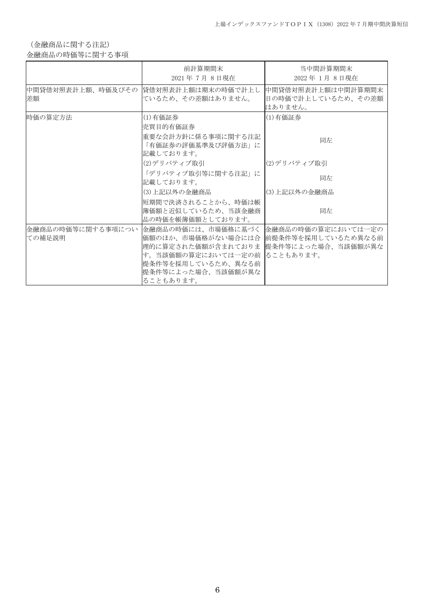(金融商品に関する注記)

金融商品の時価等に関する事項

|         | 前計算期間末<br>2021年7月8日現在                                                                                                                                                                                                      | 当中間計算期間末<br>2022年1月8日現在                              |
|---------|----------------------------------------------------------------------------------------------------------------------------------------------------------------------------------------------------------------------------|------------------------------------------------------|
| 差額      | 中間貸借対照表計上額、時価及びその  貸借対照表計上額は期末の時価で計上し <br>ているため、その差額はありません。                                                                                                                                                                | 中間貸借対照表計上額は中間計算期間末 <br>日の時価で計上しているため、その差額<br>はありません。 |
| 時価の算定方法 | (1) 有価証券<br> 売買目的有価証券<br>重要な会計方針に係る事項に関する注記<br>「有価証券の評価基準及び評価方法」に                                                                                                                                                          | (1)有価証券<br>同左                                        |
|         | 記載しております。<br> (2)デリバティブ取引                                                                                                                                                                                                  | (2)デリバティブ取引                                          |
|         | 「デリバティブ取引等に関する注記」に<br>記載しております。                                                                                                                                                                                            | 同左                                                   |
|         | (3)上記以外の金融商品                                                                                                                                                                                                               | (3) 上記以外の金融商品                                        |
|         | 短期間で決済されることから、時価は帳 <br> 簿価額と近似しているため、当該金融商<br> 品の時価を帳簿価額としております。                                                                                                                                                           | 同左                                                   |
| ての補足説明  | 金融商品の時価等に関する事項につい  金融商品の時価には、市場価格に基づく <br>価額のほか、市場価格がない場合には合 前提条件等を採用しているため異なる前<br> 理的に算定された価額が含まれておりま   提条件等によった場合、当該価額が異な <br> す。当該価額の算定においては一定の前   ることもあります。<br> 提条件等を採用しているため、異なる前<br> 提条件等によった場合、当該価額が異な<br>ることもあります。 | 金融商品の時価の算定においては一定の                                   |